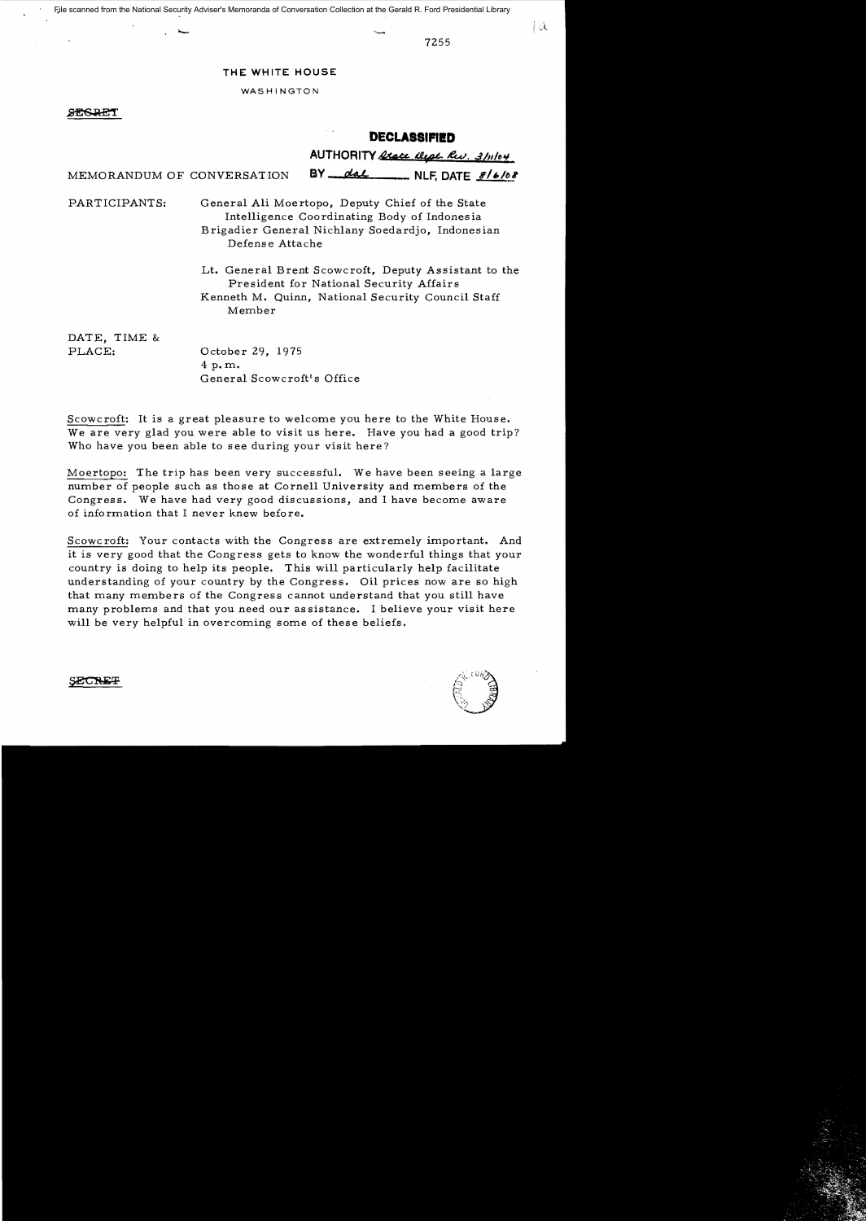File scanned from the National Security Adviser's Memoranda of Conversation Collection at the Gerald R. Ford Presidential Library

7255

### **THE WHITE HOUSE**

WASHINGTON

### **SFICRE**

# **DECLASSIFIED**

AUTHORITY <u>Rtate West, Rev.</u> 3/11/04

MEMORANDUM OF CONVERSATION **BY** <u>and the SID of the side</u> of  $\frac{s}{b}$ 

PARTICIPANTS: General Ali Moertopo, Deputy Chief of the State Intelligence Coordinating Body of Indones ia Brigadier General Nich1any Soedardjo, Indonesian Defense Attache

> Lt. General Brent Scowcroft, Deputy Assistant to the President for National Security Affairs Kenneth M. Quinn, National Security Council Staff Member

DATE, TIME & PLACE:

October 29, 1975 4 p. m. General Scowcroft's Office

Scowcroft: It is a great pleasure to welcome you here to the White House. We are very glad you were able to visit us here. Have you had a good trip? Who have you been able to see during your visit here?

Moertopo: The trip has been very successful. We have been seeing a large number of people such as those at Cornell University and members of the Congress. We have had very good discussions, and I have become aware of information that I never knew before.

Scowcroft: Your contacts with the Congress are extremely important. And it is very good that the Congress gets to know the wonderful things that your country is doing to help its people. This will particularly help facilitate understanding of your country by the Congress. Oil prices now are so high that many members of the Congress cannot understand that you still have many problems and that you need our as sistance. I believe your visit here will be very helpful in overcoming some of these beliefs.



**SECRE** 

1 û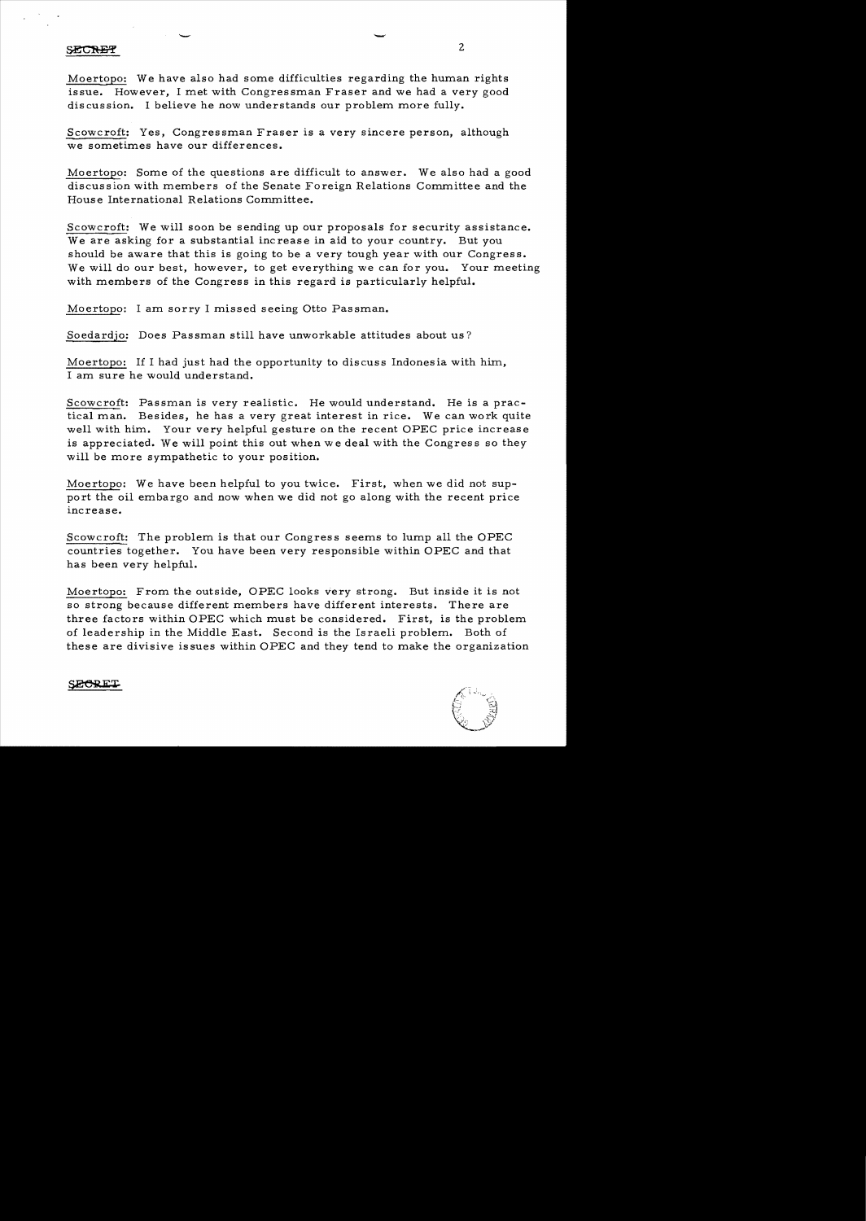### SECRET

Moertopo: We have also had some difficulties regarding the human rights issue. However, I met with Congressman Fraser and we had a very good discussion. I believe he now understands our problem more fully.

Scowcroft: Yes, Congressman Fraser is a very sincere person, although we sometimes have our differences.

Moertopo: Some of the questions are difficult to answer. We also had a good discussion with members of the Senate Foreign Relations Committee and the House International Relations Committee.

Scowcroft: We will soon be sending up our proposals for security assistance. We are asking for a substantial increase in aid to your country. But you should be aware that this is going to be a very tough year with our Congress. We will do our best, however, to get everything we can for you. Your meeting with members of the Congress in this regard is particularly helpful.

Moertopo: I am sorry I missed seeing Otto Passman.

 $\overline{\phantom{a}}$ 

Soedardjo: Does Passman still have unworkable attitudes about us?

Moertopo: If I had just had the opportunity to discuss Indonesia with him, I am sure he would understand.

Scowcroft: Passman is very realistic. He would understand. He is a practical man. Besides, he has a very great interest in rice. We can work quite well with him. Your very helpful gesture on the recent OPEC price increase is appreciated. We will point this out when we deal with the Congress so they will be more sympathetic to your position.

Moertopo: We have been helpful to you twice. First, when we did not support the oil embargo and now when we did not go along with the recent price increase.

Scowcroft: The problem is that our Congress seems to lump all the OPEC countries together. You have been very responsible within OPEC and that has been very helpful.

Moertopo: From the outside, OPEC looks very strong. But inside it is not so strong because different members have different interests. There are three factors within OPEC which must be considered. First, is the problem of leadership in the Middle East. Second is the Israeli problem. Both of these are divisive issues within OPEC and they tend to make the organization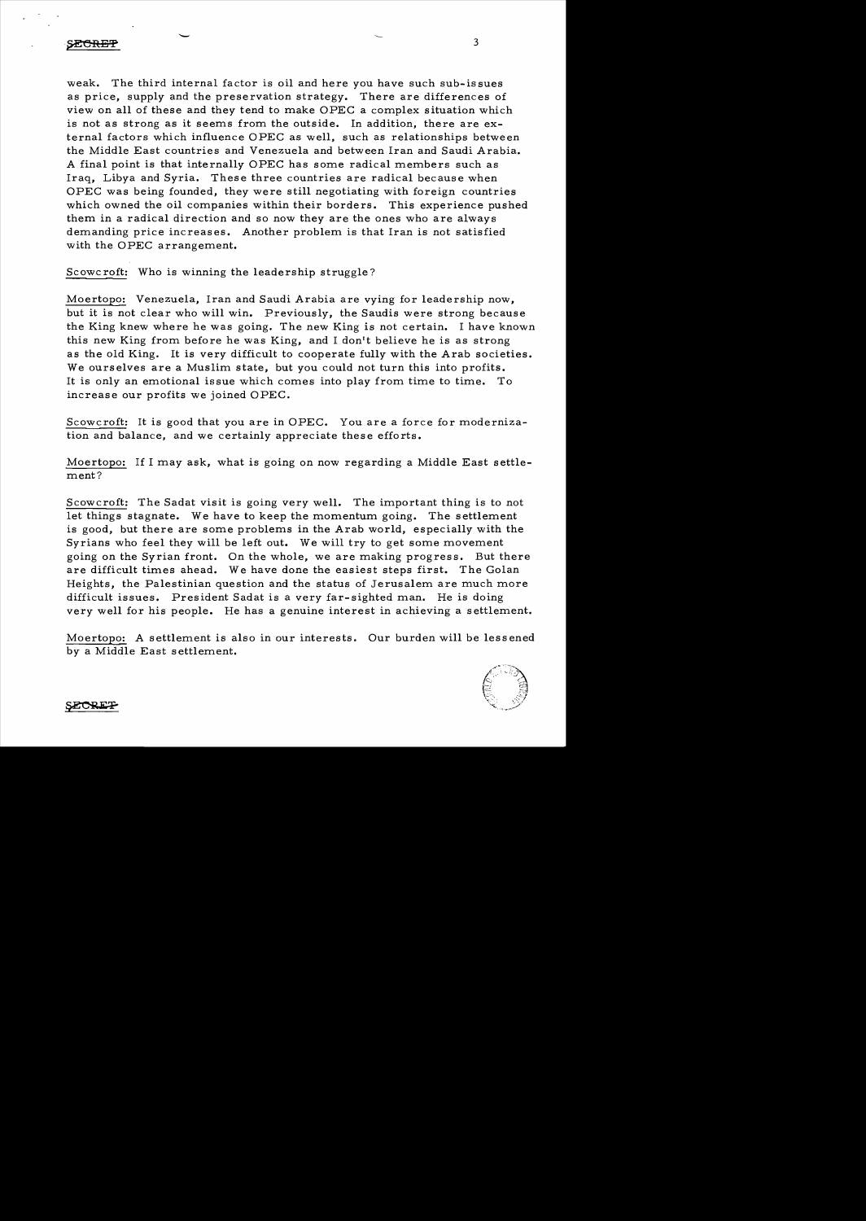# .<br>S<del>ECRET</del>

weak. The third internal factor is oil and here you have such sub-is sues as price, supply and the preservation strategy. There are differences of view on all of these and they tend to make OPEC a complex situation which is not as strong as it seems from the outside. In addition, there are external factors which influence OPEC as well, such as relationships between the Middle East countries and Venezuela and between Iran and Saudi Arabia. A final point is that internally OPEC has some radical members such as Iraq, Libya and Syria. These three countries are radical because when OPEC was being founded, they were still negotiating with foreign countries which owned the oil companies within their borders. This experience pushed them in a radical direction and so now they are the ones who are always demanding price increases. Another problem is that Iran is not satisfied with the OPEC arrangement.

3

Scowc roft: Who is winning the leadership struggle?

Moertopo: Venezuela, Iran and Saudi Arabia are vying for leadership now, but it is not clear who will win. Previously, the Saudis were strong because the King knew where he was going. The new King is not certain. I have known this new King from before he was King, and I don't believe he is as strong as the old King. It is very difficult to cooperate fully with the Arab societies. We ourselves are a Muslim state, but you could not turn this into profits. It is only an emotional issue which comes into play from time to time. To increase our profits we joined OPEC.

Scowcroft: It is good that you are in OPEC. You are a force for modernization and balance, and we certainly appreciate these efforts.

Moertopo: If I may ask, what is going on now regarding a Middle East settle ment?

Scow croft: The Sadat visit is going very well. The important thing is to not let things stagnate. We have to keep the momentum going. The settlement is good, but there are some problems in the Arab world, especially with the Syrians who feel they will be left out. We will try to get some movement going on the Syrian front. On the whole, we are making progress. But there are difficult times ahead. We have done the easiest steps first. The Golan Heights, the Palestinian question and the status of Jerusalem are much more difficult issues. President Sadat is a very far-sighted man. He is doing very well for his people. He has a genuine interest in achieving a settlement.

Moertopo: A settlement is also in our interests. Our burden will be lessened by a Middle East settlement.

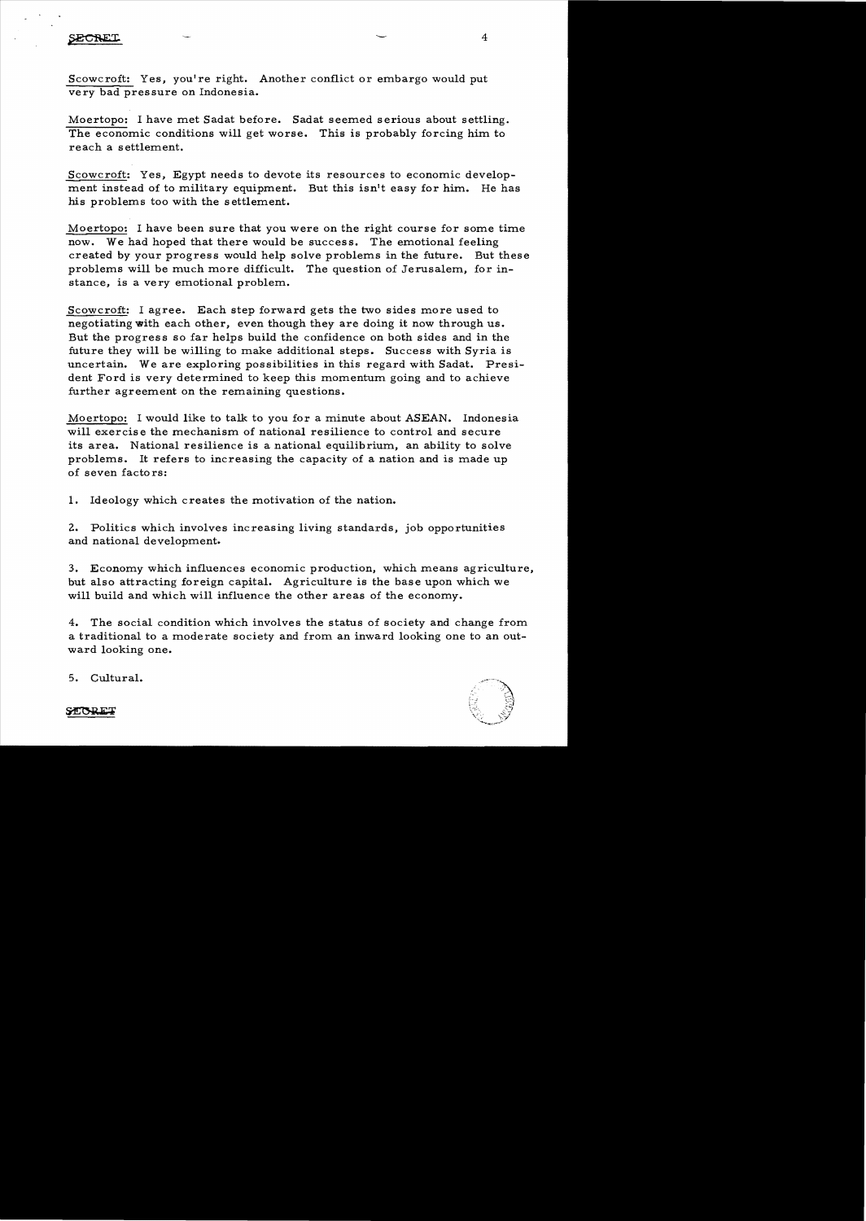SECRET

Scowcroft: Yes, you're right. Another conflict or embargo would put very bad pressure on Indonesia.

Moertopo: I have met Sadat before. Sadat seemed serious about settling. The economic conditions will get worse. This is probably forcing him to reach a settlement.

Scowcroft: Yes, Egypt needs to devote its resources to economic development instead of to military equipment. But this isn't easy for him. He has his problems too with the settlement.

Moertopo: I have been sure that you were on the right course for some time now. We had hoped that there would be success. The emotional feeling created by your progress would help solve problems in the future. But these problems will be much more difficult. The question of Jerusalem, for instance, is a very emotional problem.

Scowcroft: I agree. Each step forward gets the two sides more used to negotiating with each other, even though they are doing it now through us. But the progress so far helps build the confidence on both sides and in the future they will be willing to make additional steps. Success with Syria is uncertain. We are exploring possibilities in this regard with Sadat. President Ford is very determined to keep this momentum going and to achieve further agreement on the remaining questions.

Moertopo: I would like to talk to you for a minute about ASEAN. Indonesia will exercise the mechanism of national resilience to control and secure its area. National resilience is a national equilibrium, an ability to solve problems. It refers to increasing the capacity of a nation and is made up of seven factors:

1. Ideology which creates the motivation of the nation.

2. Politics which involves increasing living standards, job opportunities and national development.

3. Economy which influences economic production, which means agriculture, but also attracting foreign capital. Agriculture is the base upon which we will build and which will influence the other areas of the economy.

4. The social condition which involves the status of society and change from a traditional to a moderate society and from an inward looking one to an outward looking one.



5. Cultural.

STORET

4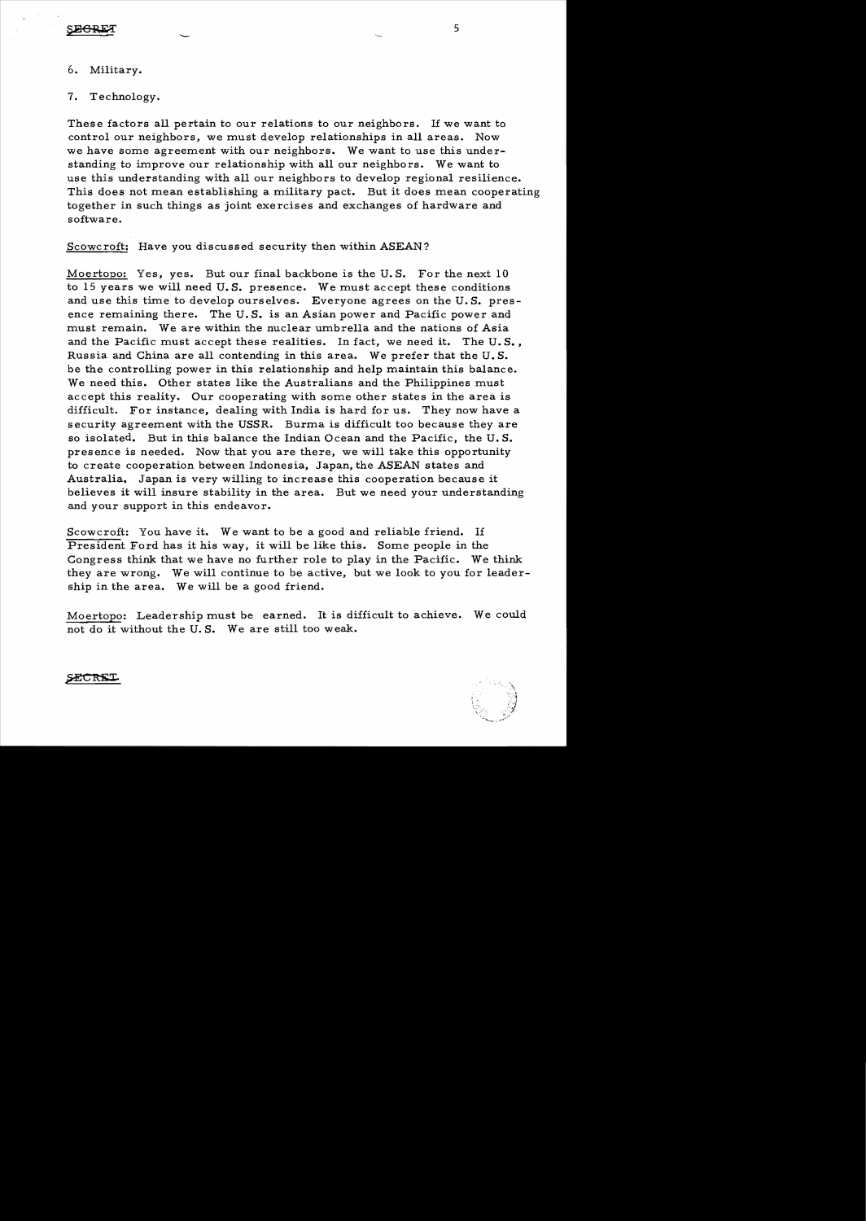### 6. Military.

7. Technology.

 $\overline{a}$ 

These factors all pertain to our relations to our neighbors. If we want to control our neighbors, we must develop relationships in all areas. Now we have some agreement with our neighbors. We want to use this understanding to improve our relationship with all our neighbors. We want to use this understanding with all our neighbors to develop regional resilience. This does not mean establishing a military pact. But it does mean cooperating together in such things as joint exercises and exchanges of hardware and software.

Scowcroft; Have you discussed security then within ASEAN?

Moertopo: Yes, yes. But our final backbone is the U. S. For the next 10 to 15 years we will need U. S. presence. We must accept these conditions and use this time to develop ourselves. Everyone agrees on the U. S. presence remaining there. The U. S. is an Asian power and Pacific power and must remain. We are within the nuclear umbrella and the nations of Asia and the Pacific must accept these realities. In fact, we need it. The U. S. , Russia and China are all contending in this area. We prefer that the U. S. be the controlling power in this relationship and help maintain this balance. We need this. Other states like the Australians and the Philippines must accept this reality. Our cooperating with some other states in the area is difficult. For instance, dealing with India is hard for us. They now have a security agreement with the USSR. Burma is difficult too because they are so isolated. But in this balance the Indian Ocean and the Pacific, the U. S. presence is needed. Now that you are there, we will take this opportunity to create cooperation between Indonesia, Japan, the ASEAN states and Australia, Japan is very willing to increase this cooperation because it believes it will insure stability in the area. But we need your understanding and your support in this endeavor.

Scowcroft: You have it. We want to be a good and reliable friend. If President Ford has it his way, it will be like this. Some people in the Congress think that we have no further role to play in the Pacific. We think they are wrong. We will continue to be active, but we look to you for leadership in the area. We will be a good friend.

Moertopo: Leadership must be earned. It is difficult to achieve. We could not do it without the U. S. We are still too weak.

**SPICTRY**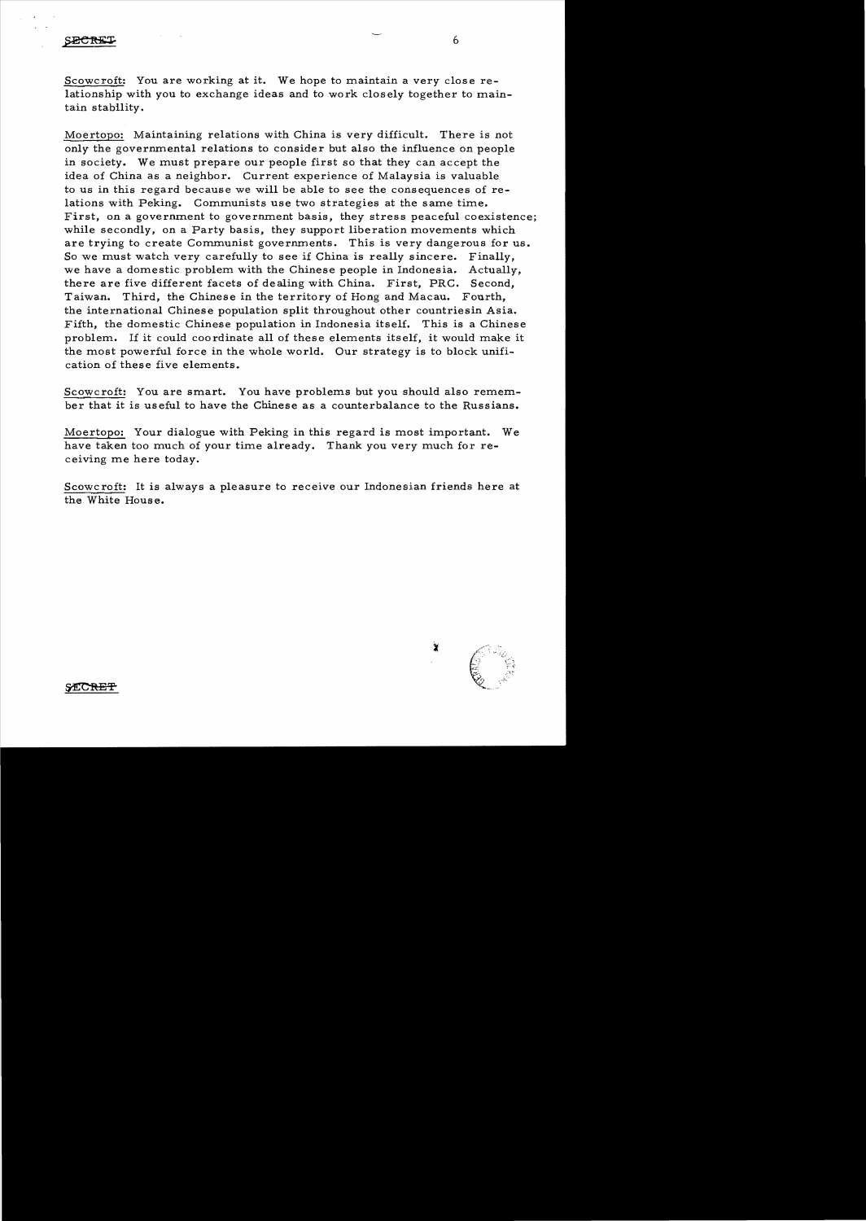Scowcroft: You are working at it. We hope to maintain a very close relationship with you to exchange ideas and to work closely together to maintain stability.

Moertopo: Maintaining relations with China is very difficult. There is not only the governmental relations to consider but also the influence on people in society. We must prepare our people first so that they can accept the idea of China as a neighbor. Current experience of Malaysia is valuable to us in this regard because we will be able to see the consequences of relations with Peking. Communists use two strategies at the same time. First, on a government to government basis, they stress peaceful coexistence; while secondly, on a Party basis, they support liberation movements which are trying to create Communist governments. This is very dangerous for us. So we must watch very carefully to see if China is really sincere. Finally, we have a domestic problem with the Chinese people in Indonesia. Actually, there are five different facets of dealing with China. First. PRC. Second, Taiwan. Third, the Chinese in the territory of Hong and Macau. Fourth, the international Chinese population split throughout other countriesin Asia. Fifth. the domestic Chinese population in Indonesia itself. This is a Chinese problem. If it could coordinate all of these elements itself. it would make it the most powerful force in the whole world. Our strategy is to block unification of these five elements.

Scowcroft: You are smart. You have problems but you should also remember that it is useful to have the Chinese as a counterbalance to the Russians.

Moertopo: Your dialogue with Peking in this regard is most important. We have taken too much of your time already. Thank you very much for receiving me here today.

Scowc roft: It is always a pleasure to receive our Indonesian friends here at the White Hous e.

6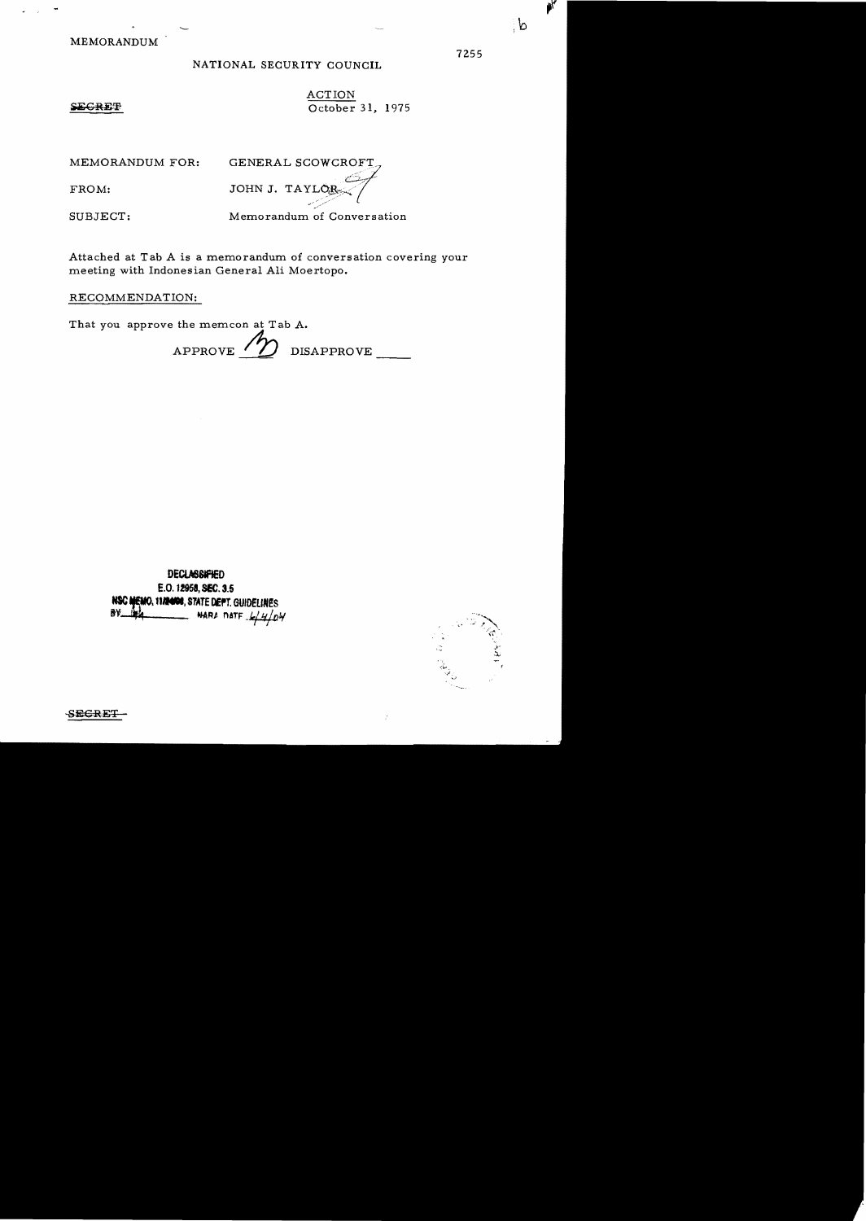**MEMORANDUM** 

## NATIONAL SECURITY COUNCIL

**ACTION** October 31, 1975

### SECRET

MEMORANDUM FOR:

FROM:

GENERAL SCOWCROFT JOHN J. TAY.

SUBJECT:

Memorandum of Conversation

Attached at Tab A is a memorandum of conversation covering your meeting with Indonesian General Ali Moertopo.

# RECOMMENDATION:

That you approve the memcon at Tab A.

APPROVE / 7 DISAPPROVE

**DECLASSIFIED** E.O. 12958, SEC. 3.5 NSC MEMO, 1179408, STATE DEPT. GUIDELINES BV. NARA DATE  $4404$ 



**SECRET** 

ି ଦ